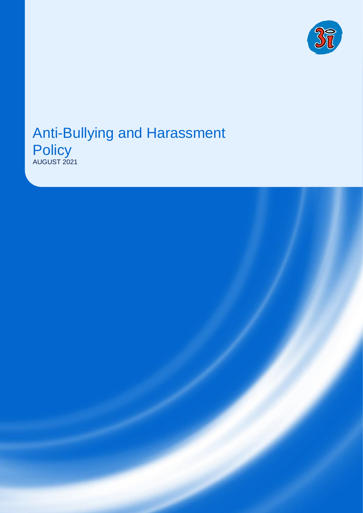

#### Anti-Bullying and Harassment **Policy** AUGUST 2021

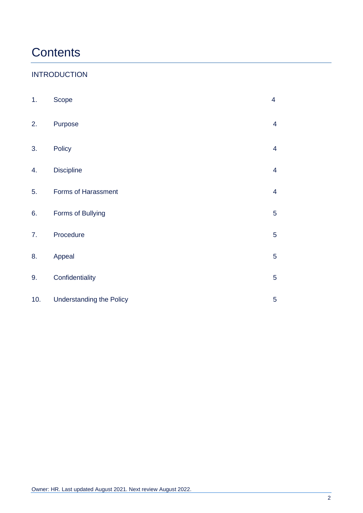# **Contents**

#### INTRODUCTION

| 1.  | Scope                           | $\overline{\mathcal{A}}$ |
|-----|---------------------------------|--------------------------|
| 2.  | Purpose                         | $\overline{4}$           |
| 3.  | Policy                          | $\overline{4}$           |
| 4.  | <b>Discipline</b>               | $\overline{4}$           |
| 5.  | Forms of Harassment             | $\overline{\mathcal{A}}$ |
| 6.  | Forms of Bullying               | $\overline{5}$           |
| 7.  | Procedure                       | $\overline{5}$           |
| 8.  | Appeal                          | 5                        |
| 9.  | Confidentiality                 | 5                        |
| 10. | <b>Understanding the Policy</b> | 5                        |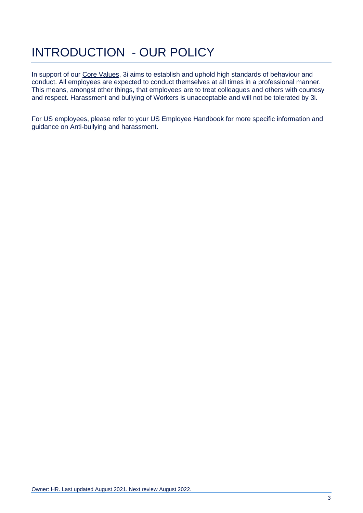# INTRODUCTION - OUR POLICY

In support of our [Core Values,](http://3i/group/Home/policies/Pages/values.jpg) 3i aims to establish and uphold high standards of behaviour and conduct. All employees are expected to conduct themselves at all times in a professional manner. This means, amongst other things, that employees are to treat colleagues and others with courtesy and respect. Harassment and bullying of Workers is unacceptable and will not be tolerated by 3i.

For US employees, please refer to your US Employee Handbook for more specific information and guidance on Anti-bullying and harassment.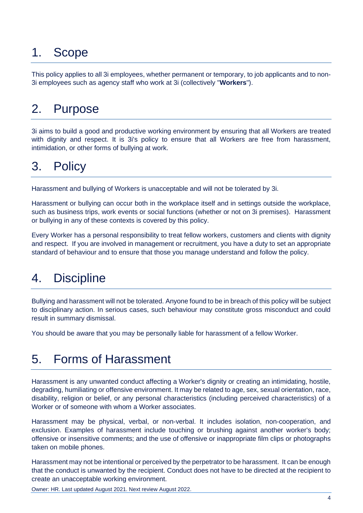## 1. Scope

This policy applies to all 3i employees, whether permanent or temporary, to job applicants and to non-3i employees such as agency staff who work at 3i (collectively "**Workers**").

## 2. Purpose

3i aims to build a good and productive working environment by ensuring that all Workers are treated with dignity and respect. It is 3i's policy to ensure that all Workers are free from harassment, intimidation, or other forms of bullying at work.

#### 3. Policy

Harassment and bullying of Workers is unacceptable and will not be tolerated by 3i.

Harassment or bullying can occur both in the workplace itself and in settings outside the workplace, such as business trips, work events or social functions (whether or not on 3i premises). Harassment or bullying in any of these contexts is covered by this policy.

Every Worker has a personal responsibility to treat fellow workers, customers and clients with dignity and respect. If you are involved in management or recruitment, you have a duty to set an appropriate standard of behaviour and to ensure that those you manage understand and follow the policy.

## 4. Discipline

Bullying and harassment will not be tolerated. Anyone found to be in breach of this policy will be subject to disciplinary action. In serious cases, such behaviour may constitute gross misconduct and could result in summary dismissal.

You should be aware that you may be personally liable for harassment of a fellow Worker.

#### 5. Forms of Harassment

Harassment is any unwanted conduct affecting a Worker's dignity or creating an intimidating, hostile, degrading, humiliating or offensive environment. It may be related to age, sex, sexual orientation, race, disability, religion or belief, or any personal characteristics (including perceived characteristics) of a Worker or of someone with whom a Worker associates.

Harassment may be physical, verbal, or non-verbal. It includes isolation, non-cooperation, and exclusion. Examples of harassment include touching or brushing against another worker's body; offensive or insensitive comments; and the use of offensive or inappropriate film clips or photographs taken on mobile phones.

Harassment may not be intentional or perceived by the perpetrator to be harassment. It can be enough that the conduct is unwanted by the recipient. Conduct does not have to be directed at the recipient to create an unacceptable working environment.

Owner: HR. Last updated August 2021. Next review August 2022.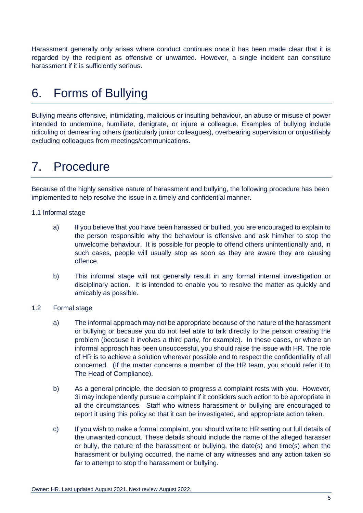Harassment generally only arises where conduct continues once it has been made clear that it is regarded by the recipient as offensive or unwanted. However, a single incident can constitute harassment if it is sufficiently serious.

## 6. Forms of Bullying

Bullying means offensive, intimidating, malicious or insulting behaviour, an abuse or misuse of power intended to undermine, humiliate, denigrate, or injure a colleague. Examples of bullying include ridiculing or demeaning others (particularly junior colleagues), overbearing supervision or unjustifiably excluding colleagues from meetings/communications.

#### 7. Procedure

Because of the highly sensitive nature of harassment and bullying, the following procedure has been implemented to help resolve the issue in a timely and confidential manner.

- 1.1 Informal stage
	- a) If you believe that you have been harassed or bullied, you are encouraged to explain to the person responsible why the behaviour is offensive and ask him/her to stop the unwelcome behaviour. It is possible for people to offend others unintentionally and, in such cases, people will usually stop as soon as they are aware they are causing offence.
	- b) This informal stage will not generally result in any formal internal investigation or disciplinary action. It is intended to enable you to resolve the matter as quickly and amicably as possible.
- 1.2 Formal stage
	- a) The informal approach may not be appropriate because of the nature of the harassment or bullying or because you do not feel able to talk directly to the person creating the problem (because it involves a third party, for example). In these cases, or where an informal approach has been unsuccessful, you should raise the issue with HR. The role of HR is to achieve a solution wherever possible and to respect the confidentiality of all concerned. (If the matter concerns a member of the HR team, you should refer it to The Head of Compliance).
	- b) As a general principle, the decision to progress a complaint rests with you. However, 3i may independently pursue a complaint if it considers such action to be appropriate in all the circumstances. Staff who witness harassment or bullying are encouraged to report it using this policy so that it can be investigated, and appropriate action taken.
	- c) If you wish to make a formal complaint, you should write to HR setting out full details of the unwanted conduct. These details should include the name of the alleged harasser or bully, the nature of the harassment or bullying, the date(s) and time(s) when the harassment or bullying occurred, the name of any witnesses and any action taken so far to attempt to stop the harassment or bullying.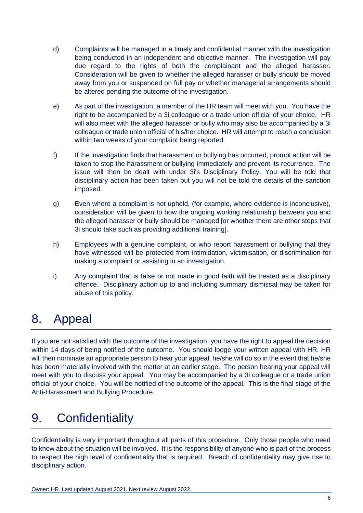- d) Complaints will be managed in a timely and confidential manner with the investigation being conducted in an independent and objective manner. The investigation will pay due regard to the rights of both the complainant and the alleged harasser. Consideration will be given to whether the alleged harasser or bully should be moved away from you or suspended on full pay or whether managerial arrangements should be altered pending the outcome of the investigation.
- e) As part of the investigation, a member of the HR team will meet with you. You have the right to be accompanied by a 3i colleague or a trade union official of your choice. HR will also meet with the alleged harasser or bully who may also be accompanied by a 3i colleague or trade union official of his/her choice. HR will attempt to reach a conclusion within two weeks of your complaint being reported.
- f) If the investigation finds that harassment or bullying has occurred, prompt action will be taken to stop the harassment or bullying immediately and prevent its recurrence. The issue will then be dealt with under 3i's Disciplinary Policy. You will be told that disciplinary action has been taken but you will not be told the details of the sanction imposed.
- g) Even where a complaint is not upheld, (for example, where evidence is inconclusive), consideration will be given to how the ongoing working relationship between you and the alleged harasser or bully should be managed [or whether there are other steps that 3i should take such as providing additional training].
- h) Employees with a genuine complaint, or who report harassment or bullying that they have witnessed will be protected from intimidation, victimisation, or discrimination for making a complaint or assisting in an investigation.
- i) Any complaint that is false or not made in good faith will be treated as a disciplinary offence. Disciplinary action up to and including summary dismissal may be taken for abuse of this policy.

# 8. Appeal

If you are not satisfied with the outcome of the investigation, you have the right to appeal the decision within 14 days of being notified of the outcome. You should lodge your written appeal with HR. HR will then nominate an appropriate person to hear your appeal; he/she will do so in the event that he/she has been materially involved with the matter at an earlier stage. The person hearing your appeal will meet with you to discuss your appeal. You may be accompanied by a 3i colleague or a trade union official of your choice. You will be notified of the outcome of the appeal. This is the final stage of the Anti-Harassment and Bullying Procedure.

# 9. Confidentiality

Confidentiality is very important throughout all parts of this procedure. Only those people who need to know about the situation will be involved. It is the responsibility of anyone who is part of the process to respect the high level of confidentiality that is required. Breach of confidentiality may give rise to disciplinary action.